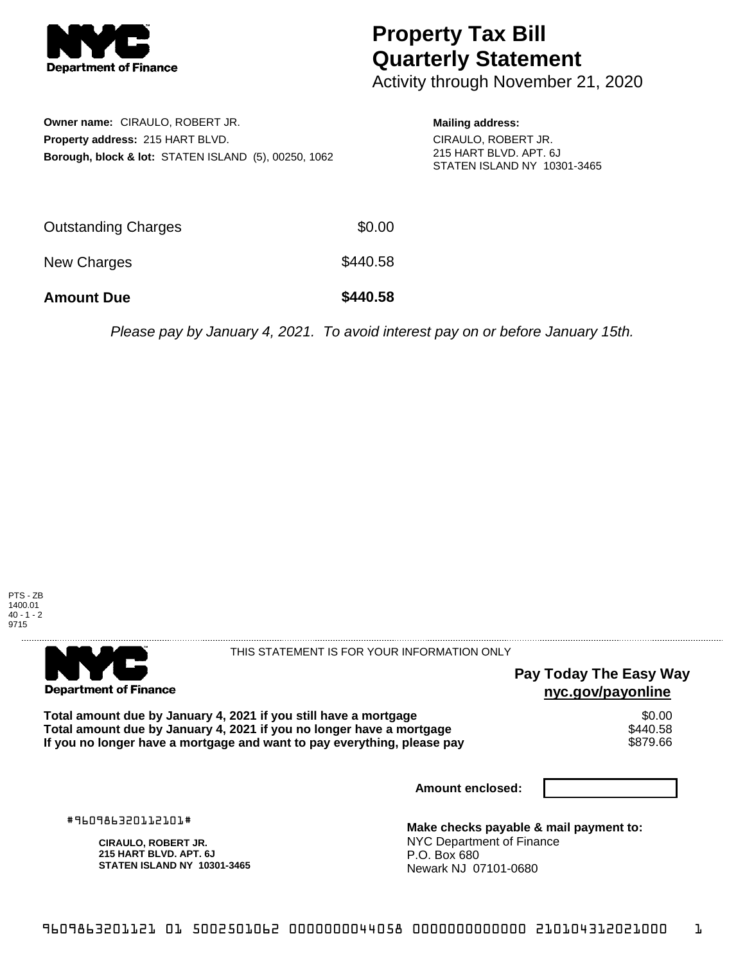

## **Property Tax Bill Quarterly Statement**

Activity through November 21, 2020

| <b>Owner name: CIRAULO, ROBERT JR.</b>                          |
|-----------------------------------------------------------------|
| <b>Property address: 215 HART BLVD.</b>                         |
| <b>Borough, block &amp; lot: STATEN ISLAND (5), 00250, 1062</b> |

**Mailing address:** CIRAULO, ROBERT JR. 215 HART BLVD. APT. 6J STATEN ISLAND NY 10301-3465

| <b>Amount Due</b>   | \$440.58 |
|---------------------|----------|
| New Charges         | \$440.58 |
| Outstanding Charges | \$0.00   |

Please pay by January 4, 2021. To avoid interest pay on or before January 15th.





THIS STATEMENT IS FOR YOUR INFORMATION ONLY

## **Pay Today The Easy Way nyc.gov/payonline**

Total amount due by January 4, 2021 if you still have a mortgage \$0.00<br>Total amount due by January 4, 2021 if you no longer have a mortgage \$440.58 **Total amount due by January 4, 2021 if you no longer have a mortgage** \$440.58 If you no longer have a mortgage and want to pay everything, please pay

**Amount enclosed:**

#960986320112101#

**CIRAULO, ROBERT JR. 215 HART BLVD. APT. 6J STATEN ISLAND NY 10301-3465**

**Make checks payable & mail payment to:** NYC Department of Finance P.O. Box 680 Newark NJ 07101-0680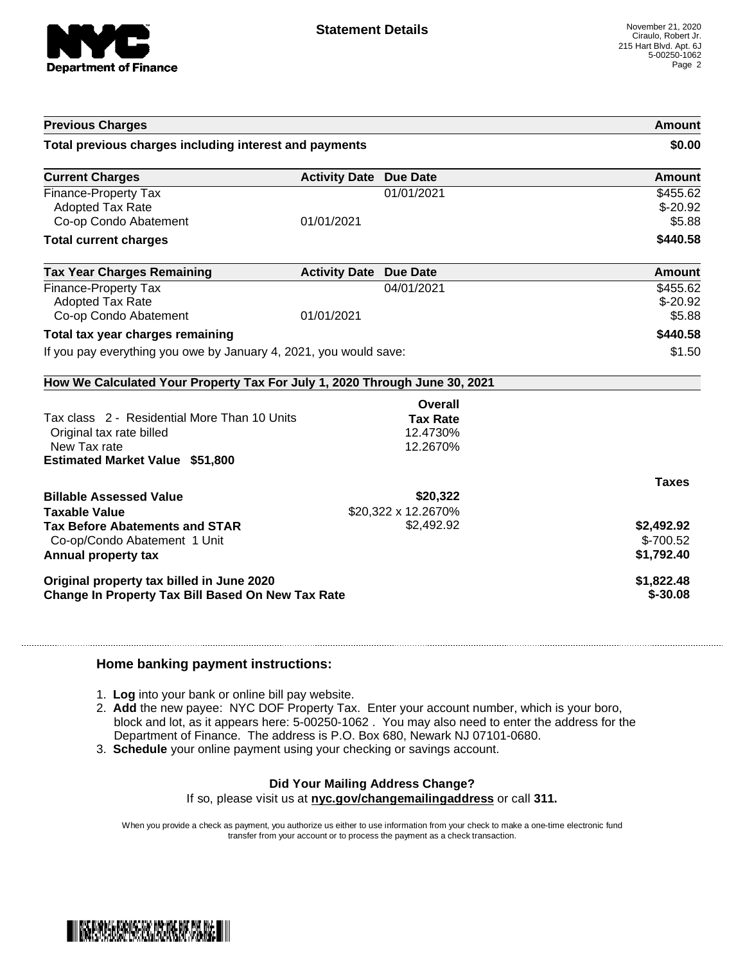

| <b>Previous Charges</b>                                                                                                            |                               |                                         | Amount                                |
|------------------------------------------------------------------------------------------------------------------------------------|-------------------------------|-----------------------------------------|---------------------------------------|
| Total previous charges including interest and payments                                                                             |                               |                                         | \$0.00                                |
| <b>Current Charges</b>                                                                                                             | <b>Activity Date Due Date</b> |                                         | Amount                                |
| Finance-Property Tax<br><b>Adopted Tax Rate</b><br>Co-op Condo Abatement                                                           | 01/01/2021                    | 01/01/2021                              | \$455.62<br>$$-20.92$<br>\$5.88       |
| <b>Total current charges</b>                                                                                                       |                               |                                         | \$440.58                              |
| <b>Tax Year Charges Remaining</b>                                                                                                  | <b>Activity Date Due Date</b> |                                         | Amount                                |
| <b>Finance-Property Tax</b><br><b>Adopted Tax Rate</b><br>Co-op Condo Abatement                                                    | 01/01/2021                    | 04/01/2021                              | \$455.62<br>$$-20.92$<br>\$5.88       |
| Total tax year charges remaining                                                                                                   |                               |                                         | \$440.58                              |
| If you pay everything you owe by January 4, 2021, you would save:                                                                  |                               |                                         | \$1.50                                |
| How We Calculated Your Property Tax For July 1, 2020 Through June 30, 2021                                                         |                               |                                         |                                       |
|                                                                                                                                    |                               | Overall                                 |                                       |
| Tax class 2 - Residential More Than 10 Units<br>Original tax rate billed<br>New Tax rate<br><b>Estimated Market Value \$51,800</b> |                               | <b>Tax Rate</b><br>12.4730%<br>12.2670% |                                       |
|                                                                                                                                    |                               |                                         | <b>Taxes</b>                          |
| <b>Billable Assessed Value</b>                                                                                                     |                               | \$20,322                                |                                       |
| <b>Taxable Value</b><br><b>Tax Before Abatements and STAR</b><br>Co-op/Condo Abatement 1 Unit<br>Annual property tax               |                               | \$20,322 x 12.2670%<br>\$2,492.92       | \$2,492.92<br>\$-700.52<br>\$1,792.40 |
| Original property tax billed in June 2020<br>Change In Property Tax Bill Based On New Tax Rate                                     |                               |                                         | \$1,822.48<br>$$-30.08$               |

## **Home banking payment instructions:**

- 1. **Log** into your bank or online bill pay website.
- 2. **Add** the new payee: NYC DOF Property Tax. Enter your account number, which is your boro, block and lot, as it appears here: 5-00250-1062 . You may also need to enter the address for the Department of Finance. The address is P.O. Box 680, Newark NJ 07101-0680.
- 3. **Schedule** your online payment using your checking or savings account.

## **Did Your Mailing Address Change?**

If so, please visit us at **nyc.gov/changemailingaddress** or call **311.**

When you provide a check as payment, you authorize us either to use information from your check to make a one-time electronic fund transfer from your account or to process the payment as a check transaction.